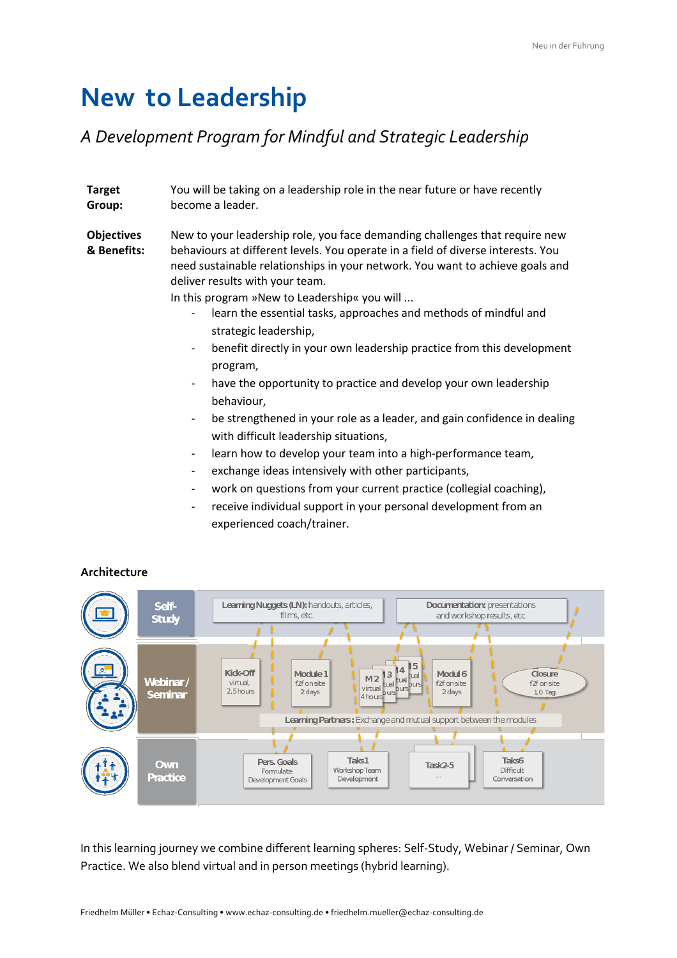## **New to Leadership**

## *A Development Program for Mindful and Strategic Leadership*

**Target Group:** You will be taking on a leadership role in the near future or have recently become a leader.

**Objectives & Benefits:** New to your leadership role, you face demanding challenges that require new behaviours at different levels. You operate in a field of diverse interests. You need sustainable relationships in your network. You want to achieve goals and deliver results with your team.

In this program »New to Leadership« you will ...

- learn the essential tasks, approaches and methods of mindful and strategic leadership,
- benefit directly in your own leadership practice from this development program,
- have the opportunity to practice and develop your own leadership behaviour,
- be strengthened in your role as a leader, and gain confidence in dealing with difficult leadership situations,
- learn how to develop your team into a high-performance team,
- exchange ideas intensively with other participants,
- work on questions from your current practice (collegial coaching),
- receive individual support in your personal development from an experienced coach/trainer.



## **Architecture**

In this learning journey we combine different learning spheres: Self-Study, Webinar / Seminar, Own Practice. We also blend virtual and in person meetings (hybrid learning).